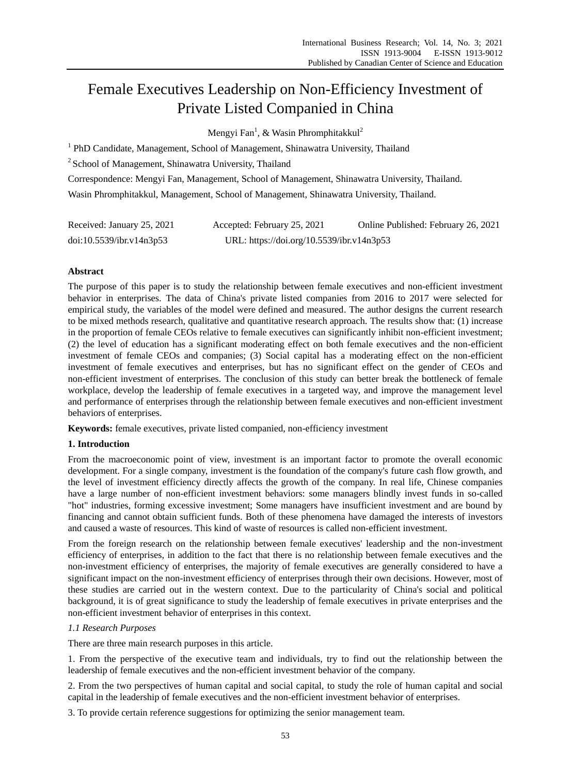# Female Executives Leadership on Non-Efficiency Investment of Private Listed Companied in China

Mengyi Fan<sup>1</sup>, & Wasin Phromphitakkul<sup>2</sup>

<sup>1</sup> PhD Candidate, Management, School of Management, Shinawatra University, Thailand

<sup>2</sup> School of Management, Shinawatra University, Thailand

Correspondence: Mengyi Fan, Management, School of Management, Shinawatra University, Thailand. Wasin Phromphitakkul, Management, School of Management, Shinawatra University, Thailand.

| Received: January 25, 2021 | Accepted: February 25, 2021               | Online Published: February 26, 2021 |
|----------------------------|-------------------------------------------|-------------------------------------|
| doi:10.5539/ibr.v14n3p53   | URL: https://doi.org/10.5539/ibr.v14n3p53 |                                     |

# **Abstract**

The purpose of this paper is to study the relationship between female executives and non-efficient investment behavior in enterprises. The data of China's private listed companies from 2016 to 2017 were selected for empirical study, the variables of the model were defined and measured. The author designs the current research to be mixed methods research, qualitative and quantitative research approach. The results show that: (1) increase in the proportion of female CEOs relative to female executives can significantly inhibit non-efficient investment; (2) the level of education has a significant moderating effect on both female executives and the non-efficient investment of female CEOs and companies; (3) Social capital has a moderating effect on the non-efficient investment of female executives and enterprises, but has no significant effect on the gender of CEOs and non-efficient investment of enterprises. The conclusion of this study can better break the bottleneck of female workplace, develop the leadership of female executives in a targeted way, and improve the management level and performance of enterprises through the relationship between female executives and non-efficient investment behaviors of enterprises.

**Keywords:** female executives, private listed companied, non-efficiency investment

# **1. Introduction**

From the macroeconomic point of view, investment is an important factor to promote the overall economic development. For a single company, investment is the foundation of the company's future cash flow growth, and the level of investment efficiency directly affects the growth of the company. In real life, Chinese companies have a large number of non-efficient investment behaviors: some managers blindly invest funds in so-called "hot" industries, forming excessive investment; Some managers have insufficient investment and are bound by financing and cannot obtain sufficient funds. Both of these phenomena have damaged the interests of investors and caused a waste of resources. This kind of waste of resources is called non-efficient investment.

From the foreign research on the relationship between female executives' leadership and the non-investment efficiency of enterprises, in addition to the fact that there is no relationship between female executives and the non-investment efficiency of enterprises, the majority of female executives are generally considered to have a significant impact on the non-investment efficiency of enterprises through their own decisions. However, most of these studies are carried out in the western context. Due to the particularity of China's social and political background, it is of great significance to study the leadership of female executives in private enterprises and the non-efficient investment behavior of enterprises in this context.

# *1.1 Research Purposes*

There are three main research purposes in this article.

1. From the perspective of the executive team and individuals, try to find out the relationship between the leadership of female executives and the non-efficient investment behavior of the company.

2. From the two perspectives of human capital and social capital, to study the role of human capital and social capital in the leadership of female executives and the non-efficient investment behavior of enterprises.

3. To provide certain reference suggestions for optimizing the senior management team.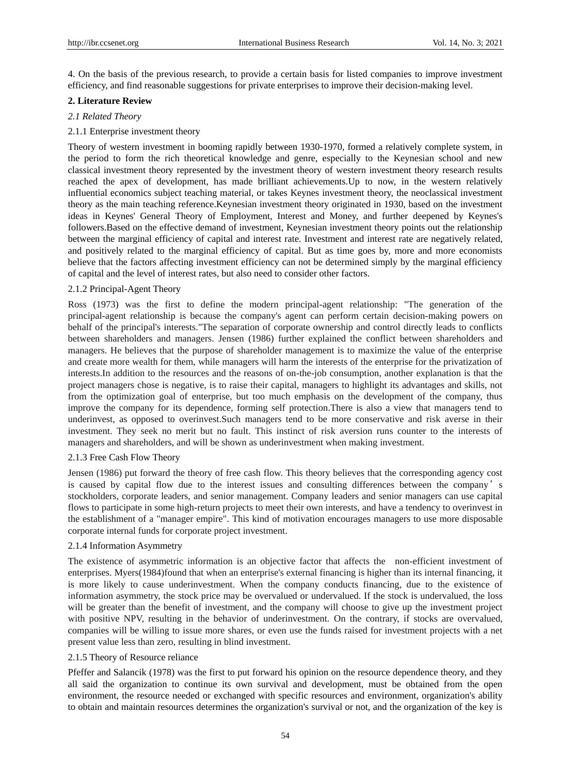4. On the basis of the previous research, to provide a certain basis for listed companies to improve investment efficiency, and find reasonable suggestions for private enterprises to improve their decision-making level.

## **2. Literature Review**

## *2.1 Related Theory*

## 2.1.1 Enterprise investment theory

Theory of western investment in booming rapidly between 1930-1970, formed a relatively complete system, in the period to form the rich theoretical knowledge and genre, especially to the Keynesian school and new classical investment theory represented by the investment theory of western investment theory research results reached the apex of development, has made brilliant achievements.Up to now, in the western relatively influential economics subject teaching material, or takes Keynes investment theory, the neoclassical investment theory as the main teaching reference.Keynesian investment theory originated in 1930, based on the investment ideas in Keynes' General Theory of Employment, Interest and Money, and further deepened by Keynes's followers.Based on the effective demand of investment, Keynesian investment theory points out the relationship between the marginal efficiency of capital and interest rate. Investment and interest rate are negatively related, and positively related to the marginal efficiency of capital. But as time goes by, more and more economists believe that the factors affecting investment efficiency can not be determined simply by the marginal efficiency of capital and the level of interest rates, but also need to consider other factors.

## 2.1.2 Principal-Agent Theory

Ross (1973) was the first to define the modern principal-agent relationship: "The generation of the principal-agent relationship is because the company's agent can perform certain decision-making powers on behalf of the principal's interests."The separation of corporate ownership and control directly leads to conflicts between shareholders and managers. Jensen (1986) further explained the conflict between shareholders and managers. He believes that the purpose of shareholder management is to maximize the value of the enterprise and create more wealth for them, while managers will harm the interests of the enterprise for the privatization of interests.In addition to the resources and the reasons of on-the-job consumption, another explanation is that the project managers chose is negative, is to raise their capital, managers to highlight its advantages and skills, not from the optimization goal of enterprise, but too much emphasis on the development of the company, thus improve the company for its dependence, forming self protection.There is also a view that managers tend to underinvest, as opposed to overinvest.Such managers tend to be more conservative and risk averse in their investment. They seek no merit but no fault. This instinct of risk aversion runs counter to the interests of managers and shareholders, and will be shown as underinvestment when making investment.

# 2.1.3 Free Cash Flow Theory

Jensen (1986) put forward the theory of free cash flow. This theory believes that the corresponding agency cost is caused by capital flow due to the interest issues and consulting differences between the company's stockholders, corporate leaders, and senior management. Company leaders and senior managers can use capital flows to participate in some high-return projects to meet their own interests, and have a tendency to overinvest in the establishment of a "manager empire". This kind of motivation encourages managers to use more disposable corporate internal funds for corporate project investment.

## 2.1.4 Information Asymmetry

The existence of asymmetric information is an objective factor that affects the non-efficient investment of enterprises. Myers(1984)found that when an enterprise's external financing is higher than its internal financing, it is more likely to cause underinvestment. When the company conducts financing, due to the existence of information asymmetry, the stock price may be overvalued or undervalued. If the stock is undervalued, the loss will be greater than the benefit of investment, and the company will choose to give up the investment project with positive NPV, resulting in the behavior of underinvestment. On the contrary, if stocks are overvalued, companies will be willing to issue more shares, or even use the funds raised for investment projects with a net present value less than zero, resulting in blind investment.

# 2.1.5 Theory of Resource reliance

Pfeffer and Salancik (1978) was the first to put forward his opinion on the resource dependence theory, and they all said the organization to continue its own survival and development, must be obtained from the open environment, the resource needed or exchanged with specific resources and environment, organization's ability to obtain and maintain resources determines the organization's survival or not, and the organization of the key is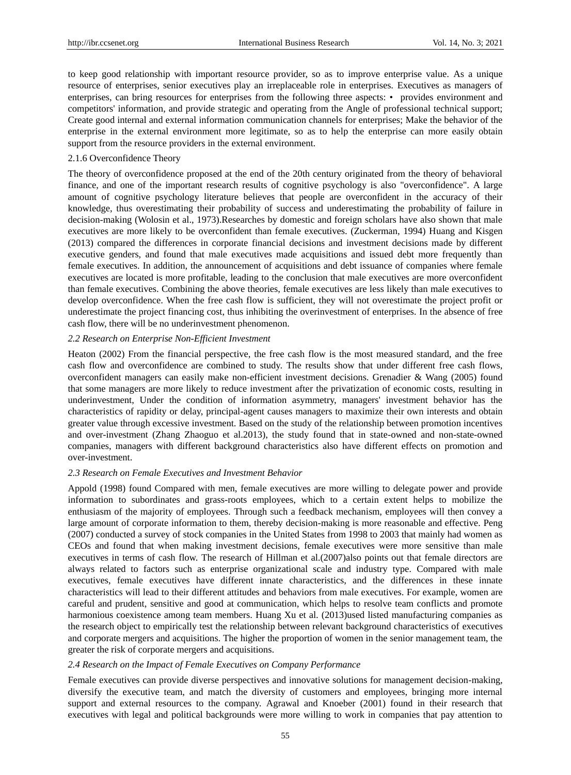to keep good relationship with important resource provider, so as to improve enterprise value. As a unique resource of enterprises, senior executives play an irreplaceable role in enterprises. Executives as managers of enterprises, can bring resources for enterprises from the following three aspects: • provides environment and competitors' information, and provide strategic and operating from the Angle of professional technical support; Create good internal and external information communication channels for enterprises; Make the behavior of the enterprise in the external environment more legitimate, so as to help the enterprise can more easily obtain support from the resource providers in the external environment.

#### 2.1.6 Overconfidence Theory

The theory of overconfidence proposed at the end of the 20th century originated from the theory of behavioral finance, and one of the important research results of cognitive psychology is also "overconfidence". A large amount of cognitive psychology literature believes that people are overconfident in the accuracy of their knowledge, thus overestimating their probability of success and underestimating the probability of failure in decision-making (Wolosin et al., 1973).Researches by domestic and foreign scholars have also shown that male executives are more likely to be overconfident than female executives. (Zuckerman, 1994) Huang and Kisgen (2013) compared the differences in corporate financial decisions and investment decisions made by different executive genders, and found that male executives made acquisitions and issued debt more frequently than female executives. In addition, the announcement of acquisitions and debt issuance of companies where female executives are located is more profitable, leading to the conclusion that male executives are more overconfident than female executives. Combining the above theories, female executives are less likely than male executives to develop overconfidence. When the free cash flow is sufficient, they will not overestimate the project profit or underestimate the project financing cost, thus inhibiting the overinvestment of enterprises. In the absence of free cash flow, there will be no underinvestment phenomenon.

#### *2.2 Research on Enterprise Non-Efficient Investment*

Heaton (2002) From the financial perspective, the free cash flow is the most measured standard, and the free cash flow and overconfidence are combined to study. The results show that under different free cash flows, overconfident managers can easily make non-efficient investment decisions. Grenadier & Wang (2005) found that some managers are more likely to reduce investment after the privatization of economic costs, resulting in underinvestment, Under the condition of information asymmetry, managers' investment behavior has the characteristics of rapidity or delay, principal-agent causes managers to maximize their own interests and obtain greater value through excessive investment. Based on the study of the relationship between promotion incentives and over-investment (Zhang Zhaoguo et al.2013), the study found that in state-owned and non-state-owned companies, managers with different background characteristics also have different effects on promotion and over-investment.

## *2.3 Research on Female Executives and Investment Behavior*

Appold (1998) found Compared with men, female executives are more willing to delegate power and provide information to subordinates and grass-roots employees, which to a certain extent helps to mobilize the enthusiasm of the majority of employees. Through such a feedback mechanism, employees will then convey a large amount of corporate information to them, thereby decision-making is more reasonable and effective. Peng (2007) conducted a survey of stock companies in the United States from 1998 to 2003 that mainly had women as CEOs and found that when making investment decisions, female executives were more sensitive than male executives in terms of cash flow. The research of Hillman et al.(2007)also points out that female directors are always related to factors such as enterprise organizational scale and industry type. Compared with male executives, female executives have different innate characteristics, and the differences in these innate characteristics will lead to their different attitudes and behaviors from male executives. For example, women are careful and prudent, sensitive and good at communication, which helps to resolve team conflicts and promote harmonious coexistence among team members. Huang Xu et al. (2013)used listed manufacturing companies as the research object to empirically test the relationship between relevant background characteristics of executives and corporate mergers and acquisitions. The higher the proportion of women in the senior management team, the greater the risk of corporate mergers and acquisitions.

## *2.4 Research on the Impact of Female Executives on Company Performance*

Female executives can provide diverse perspectives and innovative solutions for management decision-making, diversify the executive team, and match the diversity of customers and employees, bringing more internal support and external resources to the company. Agrawal and Knoeber (2001) found in their research that executives with legal and political backgrounds were more willing to work in companies that pay attention to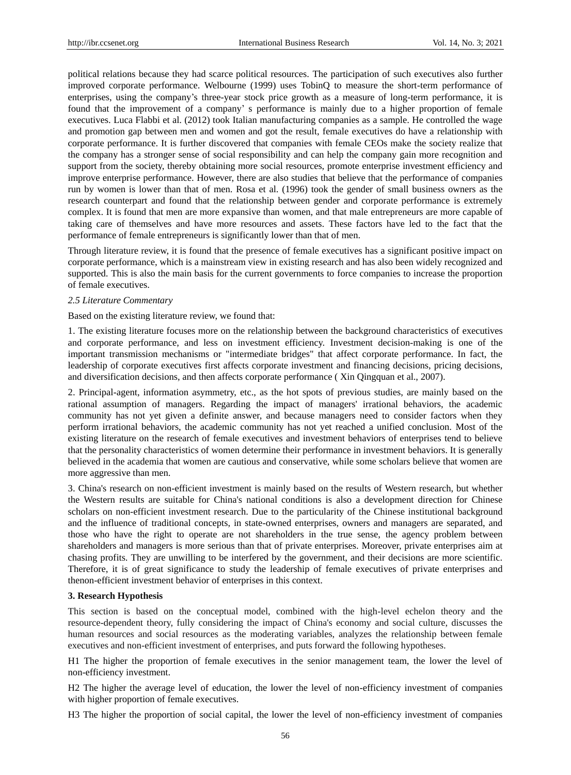political relations because they had scarce political resources. The participation of such executives also further improved corporate performance. Welbourne (1999) uses TobinQ to measure the short-term performance of enterprises, using the company's three-year stock price growth as a measure of long-term performance, it is found that the improvement of a company' s performance is mainly due to a higher proportion of female executives. Luca Flabbi et al. (2012) took Italian manufacturing companies as a sample. He controlled the wage and promotion gap between men and women and got the result, female executives do have a relationship with corporate performance. It is further discovered that companies with female CEOs make the society realize that the company has a stronger sense of social responsibility and can help the company gain more recognition and support from the society, thereby obtaining more social resources, promote enterprise investment efficiency and improve enterprise performance. However, there are also studies that believe that the performance of companies run by women is lower than that of men. Rosa et al. (1996) took the gender of small business owners as the research counterpart and found that the relationship between gender and corporate performance is extremely complex. It is found that men are more expansive than women, and that male entrepreneurs are more capable of taking care of themselves and have more resources and assets. These factors have led to the fact that the performance of female entrepreneurs is significantly lower than that of men.

Through literature review, it is found that the presence of female executives has a significant positive impact on corporate performance, which is a mainstream view in existing research and has also been widely recognized and supported. This is also the main basis for the current governments to force companies to increase the proportion of female executives.

## *2.5 Literature Commentary*

Based on the existing literature review, we found that:

1. The existing literature focuses more on the relationship between the background characteristics of executives and corporate performance, and less on investment efficiency. Investment decision-making is one of the important transmission mechanisms or "intermediate bridges" that affect corporate performance. In fact, the leadership of corporate executives first affects corporate investment and financing decisions, pricing decisions, and diversification decisions, and then affects corporate performance ( Xin Qingquan et al., 2007).

2. Principal-agent, information asymmetry, etc., as the hot spots of previous studies, are mainly based on the rational assumption of managers. Regarding the impact of managers' irrational behaviors, the academic community has not yet given a definite answer, and because managers need to consider factors when they perform irrational behaviors, the academic community has not yet reached a unified conclusion. Most of the existing literature on the research of female executives and investment behaviors of enterprises tend to believe that the personality characteristics of women determine their performance in investment behaviors. It is generally believed in the academia that women are cautious and conservative, while some scholars believe that women are more aggressive than men.

3. China's research on non-efficient investment is mainly based on the results of Western research, but whether the Western results are suitable for China's national conditions is also a development direction for Chinese scholars on non-efficient investment research. Due to the particularity of the Chinese institutional background and the influence of traditional concepts, in state-owned enterprises, owners and managers are separated, and those who have the right to operate are not shareholders in the true sense, the agency problem between shareholders and managers is more serious than that of private enterprises. Moreover, private enterprises aim at chasing profits. They are unwilling to be interfered by the government, and their decisions are more scientific. Therefore, it is of great significance to study the leadership of female executives of private enterprises and thenon-efficient investment behavior of enterprises in this context.

## **3. Research Hypothesis**

This section is based on the conceptual model, combined with the high-level echelon theory and the resource-dependent theory, fully considering the impact of China's economy and social culture, discusses the human resources and social resources as the moderating variables, analyzes the relationship between female executives and non-efficient investment of enterprises, and puts forward the following hypotheses.

H1 The higher the proportion of female executives in the senior management team, the lower the level of non-efficiency investment.

H2 The higher the average level of education, the lower the level of non-efficiency investment of companies with higher proportion of female executives.

H3 The higher the proportion of social capital, the lower the level of non-efficiency investment of companies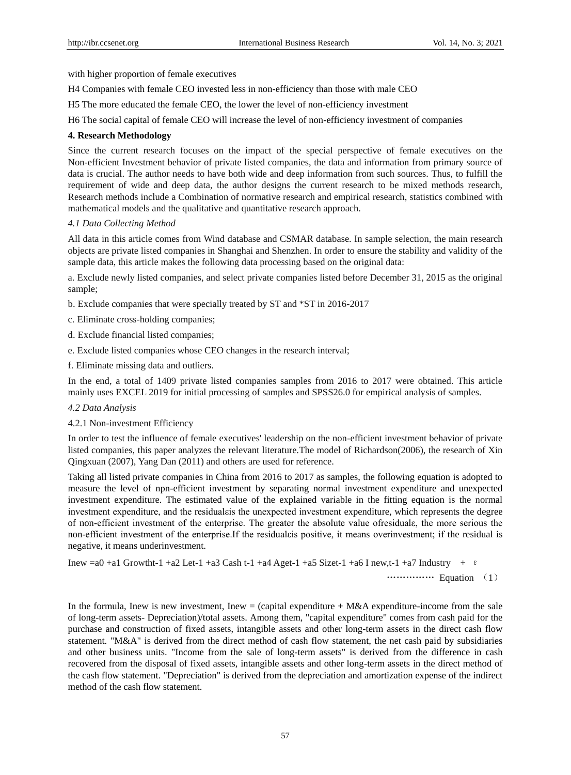with higher proportion of female executives

H4 Companies with female CEO invested less in non-efficiency than those with male CEO

H5 The more educated the female CEO, the lower the level of non-efficiency investment

H6 The social capital of female CEO will increase the level of non-efficiency investment of companies

# **4. Research Methodology**

Since the current research focuses on the impact of the special perspective of female executives on the Non-efficient Investment behavior of private listed companies, the data and information from primary source of data is crucial. The author needs to have both wide and deep information from such sources. Thus, to fulfill the requirement of wide and deep data, the author designs the current research to be mixed methods research, Research methods include a Combination of normative research and empirical research, statistics combined with mathematical models and the qualitative and quantitative research approach.

# *4.1 Data Collecting Method*

All data in this article comes from Wind database and CSMAR database. In sample selection, the main research objects are private listed companies in Shanghai and Shenzhen. In order to ensure the stability and validity of the sample data, this article makes the following data processing based on the original data:

a. Exclude newly listed companies, and select private companies listed before December 31, 2015 as the original sample;

- b. Exclude companies that were specially treated by ST and \*ST in 2016-2017
- c. Eliminate cross-holding companies;
- d. Exclude financial listed companies;
- e. Exclude listed companies whose CEO changes in the research interval;
- f. Eliminate missing data and outliers.

In the end, a total of 1409 private listed companies samples from 2016 to 2017 were obtained. This article mainly uses EXCEL 2019 for initial processing of samples and SPSS26.0 for empirical analysis of samples.

# *4.2 Data Analysis*

4.2.1 Non-investment Efficiency

In order to test the influence of female executives' leadership on the non-efficient investment behavior of private listed companies, this paper analyzes the relevant literature.The model of Richardson(2006), the research of Xin Qingxuan (2007), Yang Dan (2011) and others are used for reference.

Taking all listed private companies in China from 2016 to 2017 as samples, the following equation is adopted to measure the level of npn-efficient investment by separating normal investment expenditure and unexpected investment expenditure. The estimated value of the explained variable in the fitting equation is the normal investment expenditure, and the residualεis the unexpected investment expenditure, which represents the degree of non-efficient investment of the enterprise. The greater the absolute value ofresidualε, the more serious the non-efficient investment of the enterprise.If the residualεis positive, it means overinvestment; if the residual is negative, it means underinvestment.

Inew =a0 +a1 Growtht-1 +a2 Let-1 +a3 Cash t-1 +a4 Aget-1 +a5 Sizet-1 +a6 I new,t-1 +a7 Industry + ε

…………… Equation (1)

In the formula, Inew is new investment, Inew  $=$  (capital expenditure + M&A expenditure-income from the sale of long-term assets- Depreciation)/total assets. Among them, "capital expenditure" comes from cash paid for the purchase and construction of fixed assets, intangible assets and other long-term assets in the direct cash flow statement. "M&A" is derived from the direct method of cash flow statement, the net cash paid by subsidiaries and other business units. "Income from the sale of long-term assets" is derived from the difference in cash recovered from the disposal of fixed assets, intangible assets and other long-term assets in the direct method of the cash flow statement. "Depreciation" is derived from the depreciation and amortization expense of the indirect method of the cash flow statement.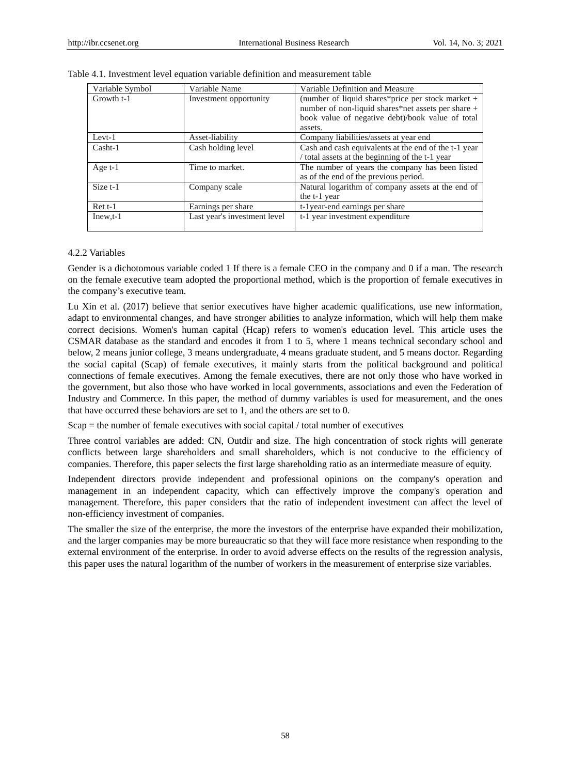| Variable Symbol | Variable Name                | Variable Definition and Measure                      |
|-----------------|------------------------------|------------------------------------------------------|
| Growth t-1      | Investment opportunity       | (number of liquid shares*price per stock market $+$  |
|                 |                              | number of non-liquid shares*net assets per share +   |
|                 |                              | book value of negative debt)/book value of total     |
|                 |                              | assets.                                              |
| $Levt-1$        | Asset-liability              | Company liabilities/assets at year end               |
| $Cash-1$        | Cash holding level           | Cash and cash equivalents at the end of the t-1 year |
|                 |                              | total assets at the beginning of the t-1 year        |
| Age $t-1$       | Time to market.              | The number of years the company has been listed      |
|                 |                              | as of the end of the previous period.                |
| Size t-1        | Company scale                | Natural logarithm of company assets at the end of    |
|                 |                              | the t-1 year                                         |
| $Rett-1$        | Earnings per share           | t-1year-end earnings per share                       |
| $I$ new, $t-1$  | Last year's investment level | t-1 year investment expenditure                      |
|                 |                              |                                                      |

## 4.2.2 Variables

Gender is a dichotomous variable coded 1 If there is a female CEO in the company and 0 if a man. The research on the female executive team adopted the proportional method, which is the proportion of female executives in the company's executive team.

Lu Xin et al. (2017) believe that senior executives have higher academic qualifications, use new information, adapt to environmental changes, and have stronger abilities to analyze information, which will help them make correct decisions. Women's human capital (Hcap) refers to women's education level. This article uses the CSMAR database as the standard and encodes it from 1 to 5, where 1 means technical secondary school and below, 2 means junior college, 3 means undergraduate, 4 means graduate student, and 5 means doctor. Regarding the social capital (Scap) of female executives, it mainly starts from the political background and political connections of female executives. Among the female executives, there are not only those who have worked in the government, but also those who have worked in local governments, associations and even the Federation of Industry and Commerce. In this paper, the method of dummy variables is used for measurement, and the ones that have occurred these behaviors are set to 1, and the others are set to 0.

 $Scap =$  the number of female executives with social capital  $/$  total number of executives

Three control variables are added: CN, Outdir and size. The high concentration of stock rights will generate conflicts between large shareholders and small shareholders, which is not conducive to the efficiency of companies. Therefore, this paper selects the first large shareholding ratio as an intermediate measure of equity.

Independent directors provide independent and professional opinions on the company's operation and management in an independent capacity, which can effectively improve the company's operation and management. Therefore, this paper considers that the ratio of independent investment can affect the level of non-efficiency investment of companies.

The smaller the size of the enterprise, the more the investors of the enterprise have expanded their mobilization, and the larger companies may be more bureaucratic so that they will face more resistance when responding to the external environment of the enterprise. In order to avoid adverse effects on the results of the regression analysis, this paper uses the natural logarithm of the number of workers in the measurement of enterprise size variables.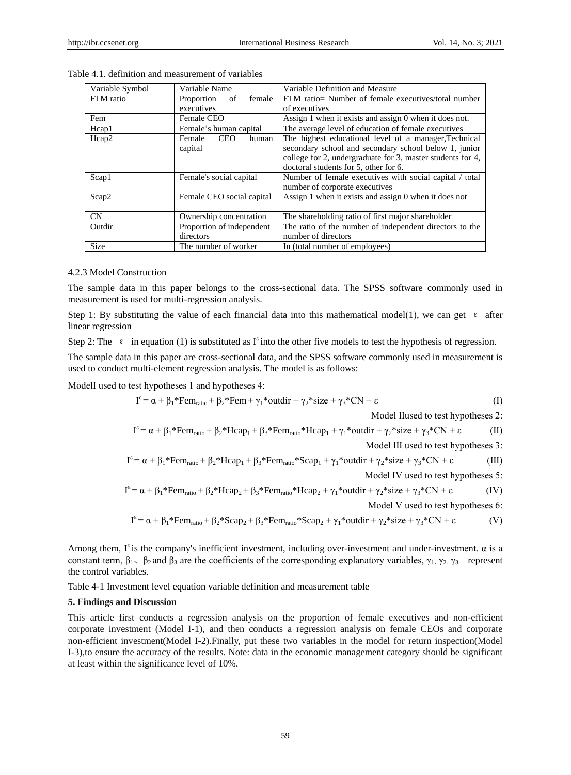| Variable Symbol | Variable Name                            | Variable Definition and Measure                                                                                                                                                                                       |  |  |  |
|-----------------|------------------------------------------|-----------------------------------------------------------------------------------------------------------------------------------------------------------------------------------------------------------------------|--|--|--|
| FTM ratio       | female<br>of<br>Proportion               | FTM ratio= Number of female executives/total number                                                                                                                                                                   |  |  |  |
|                 | executives                               | of executives                                                                                                                                                                                                         |  |  |  |
| Fem             | Female CEO                               | Assign 1 when it exists and assign 0 when it does not.                                                                                                                                                                |  |  |  |
| Hcap1           | Female's human capital                   | The average level of education of female executives                                                                                                                                                                   |  |  |  |
| Hcap2           | <b>CEO</b><br>human<br>Female<br>capital | The highest educational level of a manager, Technical<br>secondary school and secondary school below 1, junior<br>college for 2, undergraduate for 3, master students for 4,<br>doctoral students for 5, other for 6. |  |  |  |
| Scap1           | Female's social capital                  | Number of female executives with social capital / total<br>number of corporate executives                                                                                                                             |  |  |  |
| Scap2           | Female CEO social capital                | Assign 1 when it exists and assign 0 when it does not                                                                                                                                                                 |  |  |  |
| CN              | Ownership concentration                  | The shareholding ratio of first major shareholder                                                                                                                                                                     |  |  |  |
| Outdir          | Proportion of independent                | The ratio of the number of independent directors to the                                                                                                                                                               |  |  |  |
|                 | directors                                | number of directors                                                                                                                                                                                                   |  |  |  |
| <b>Size</b>     | The number of worker                     | In (total number of employees)                                                                                                                                                                                        |  |  |  |

Table 4.1. definition and measurement of variables

# 4.2.3 Model Construction

The sample data in this paper belongs to the cross-sectional data. The SPSS software commonly used in measurement is used for multi-regression analysis.

Step 1: By substituting the value of each financial data into this mathematical model(1), we can get  $\epsilon$  after linear regression

Step 2: The  $\varepsilon$  in equation (1) is substituted as I<sup> $\varepsilon$ </sup> into the other five models to test the hypothesis of regression.

The sample data in this paper are cross-sectional data, and the SPSS software commonly used in measurement is used to conduct multi-element regression analysis. The model is as follows:

ModelI used to test hypotheses 1 and hypotheses 4:

$$
I^{\epsilon} = \alpha + \beta_1 * \text{Fem}_{\text{ratio}} + \beta_2 * \text{Fem} + \gamma_1 * \text{outdir} + \gamma_2 * \text{size} + \gamma_3 * \text{CN} + \epsilon
$$
 (I)

Model II used to test hypotheses 2:

$$
I^{\epsilon} = \alpha + \beta_1 * \text{Fem}_{\text{ratio}} + \beta_2 * \text{Hcap}_1 + \beta_3 * \text{Fem}_{\text{ratio}} * \text{Hcap}_1 + \gamma_1 * \text{outdir} + \gamma_2 * \text{size} + \gamma_3 * \text{CN} + \epsilon
$$
 (II)

Model III used to test hypotheses 3:

$$
I^{\epsilon} = \alpha + \beta_1 * \text{Fem}_{\text{ratio}} + \beta_2 * \text{Hcap}_1 + \beta_3 * \text{Fem}_{\text{ratio}} * \text{Scap}_1 + \gamma_1 * \text{outdir} + \gamma_2 * \text{size} + \gamma_3 * \text{CN} + \epsilon
$$
 (III)

Model Ⅳ used to test hypotheses 5:

$$
I^{\epsilon} = \alpha + \beta_1 * \text{Fem}_{\text{ratio}} + \beta_2 * \text{Hcap}_2 + \beta_3 * \text{Fem}_{\text{ratio}} * \text{Hcap}_2 + \gamma_1 * \text{outdir} + \gamma_2 * \text{size} + \gamma_3 * \text{CN} + \epsilon
$$
 (IV)

Model V used to test hypotheses 6:

$$
I^{\epsilon} = \alpha + \beta_1 * \text{Fem}_{\text{ratio}} + \beta_2 * \text{Scap}_2 + \beta_3 * \text{Fem}_{\text{ratio}} * \text{Scap}_2 + \gamma_1 * \text{outdir} + \gamma_2 * \text{size} + \gamma_3 * \text{CN} + \epsilon
$$
 (V)

Among them,  $I^{\epsilon}$  is the company's inefficient investment, including over-investment and under-investment.  $\alpha$  is a constant term,  $\beta_1$ ,  $\beta_2$  and  $\beta_3$  are the coefficients of the corresponding explanatory variables,  $\gamma_1$ ,  $\gamma_2$ ,  $\gamma_3$  represent the control variables.

Table 4-1 Investment level equation variable definition and measurement table

# **5. Findings and Discussion**

This article first conducts a regression analysis on the proportion of female executives and non-efficient corporate investment (Model I-1), and then conducts a regression analysis on female CEOs and corporate non-efficient investment(Model I-2).Finally, put these two variables in the model for return inspection(Model I-3),to ensure the accuracy of the results. Note: data in the economic management category should be significant at least within the significance level of 10%.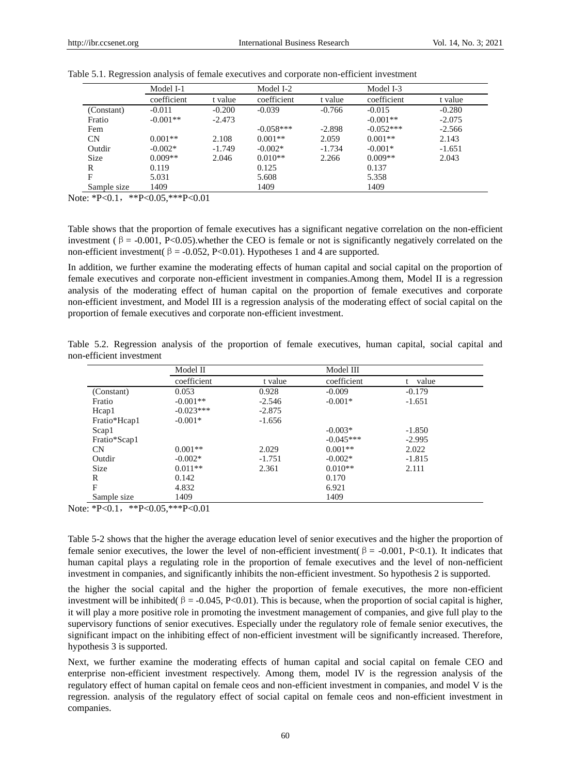|             | Model I-1   |          | Model I-2   |          | Model I-3   |          |  |
|-------------|-------------|----------|-------------|----------|-------------|----------|--|
|             | coefficient | t value  | coefficient | t value  | coefficient | t value  |  |
| (Constant)  | $-0.011$    | $-0.200$ | $-0.039$    | $-0.766$ | $-0.015$    | $-0.280$ |  |
| Fratio      | $-0.001**$  | $-2.473$ |             |          | $-0.001**$  | $-2.075$ |  |
| Fem         |             |          | $-0.058***$ | $-2.898$ | $-0.052***$ | $-2.566$ |  |
| CN          | $0.001**$   | 2.108    | $0.001**$   | 2.059    | $0.001**$   | 2.143    |  |
| Outdir      | $-0.002*$   | $-1.749$ | $-0.002*$   | $-1.734$ | $-0.001*$   | $-1.651$ |  |
| <b>Size</b> | $0.009**$   | 2.046    | $0.010**$   | 2.266    | $0.009**$   | 2.043    |  |
| R           | 0.119       |          | 0.125       |          | 0.137       |          |  |
| F           | 5.031       |          | 5.608       |          | 5.358       |          |  |
| Sample size | 1409        |          | 1409        |          | 1409        |          |  |

Table 5.1. Regression analysis of female executives and corporate non-efficient investment

Note: \*P<0.1, \*\*P<0.05, \*\*\* P<0.01

Table shows that the proportion of female executives has a significant negative correlation on the non-efficient investment ( $\beta$  = -0.001, P<0.05).whether the CEO is female or not is significantly negatively correlated on the non-efficient investment( $\beta$  = -0.052, P<0.01). Hypotheses 1 and 4 are supported.

In addition, we further examine the moderating effects of human capital and social capital on the proportion of female executives and corporate non-efficient investment in companies.Among them, Model II is a regression analysis of the moderating effect of human capital on the proportion of female executives and corporate non-efficient investment, and Model III is a regression analysis of the moderating effect of social capital on the proportion of female executives and corporate non-efficient investment.

|                          |  |  |  | Table 5.2. Regression analysis of the proportion of female executives, human capital, social capital and |  |  |  |
|--------------------------|--|--|--|----------------------------------------------------------------------------------------------------------|--|--|--|
| non-efficient investment |  |  |  |                                                                                                          |  |  |  |

|              | Model II    |          | Model III   |          |  |
|--------------|-------------|----------|-------------|----------|--|
|              | coefficient | t value  | coefficient | value    |  |
| (Constant)   | 0.053       | 0.928    | $-0.009$    | $-0.179$ |  |
| Fratio       | $-0.001**$  | $-2.546$ | $-0.001*$   | $-1.651$ |  |
| Hcap1        | $-0.023***$ | $-2.875$ |             |          |  |
| Fratio*Hcap1 | $-0.001*$   | $-1.656$ |             |          |  |
| Scap1        |             |          | $-0.003*$   | $-1.850$ |  |
| Fratio*Scap1 |             |          | $-0.045***$ | $-2.995$ |  |
| CN           | $0.001**$   | 2.029    | $0.001**$   | 2.022    |  |
| Outdir       | $-0.002*$   | $-1.751$ | $-0.002*$   | $-1.815$ |  |
| <b>Size</b>  | $0.011**$   | 2.361    | $0.010**$   | 2.111    |  |
| R            | 0.142       |          | 0.170       |          |  |
| F            | 4.832       |          | 6.921       |          |  |
| Sample size  | 1409        |          | 1409        |          |  |

Note: \*P<0.1, \*\*P<0.05, \*\*\* P<0.01

Table 5-2 shows that the higher the average education level of senior executives and the higher the proportion of female senior executives, the lower the level of non-efficient investment( $\beta$  = -0.001, P<0.1). It indicates that human capital plays a regulating role in the proportion of female executives and the level of non-nefficient investment in companies, and significantly inhibits the non-efficient investment. So hypothesis 2 is supported.

the higher the social capital and the higher the proportion of female executives, the more non-efficient investment will be inhibited( $\beta = -0.045$ , P<0.01). This is because, when the proportion of social capital is higher, it will play a more positive role in promoting the investment management of companies, and give full play to the supervisory functions of senior executives. Especially under the regulatory role of female senior executives, the significant impact on the inhibiting effect of non-efficient investment will be significantly increased. Therefore, hypothesis 3 is supported.

Next, we further examine the moderating effects of human capital and social capital on female CEO and enterprise non-efficient investment respectively. Among them, model IV is the regression analysis of the regulatory effect of human capital on female ceos and non-efficient investment in companies, and model V is the regression. analysis of the regulatory effect of social capital on female ceos and non-efficient investment in companies.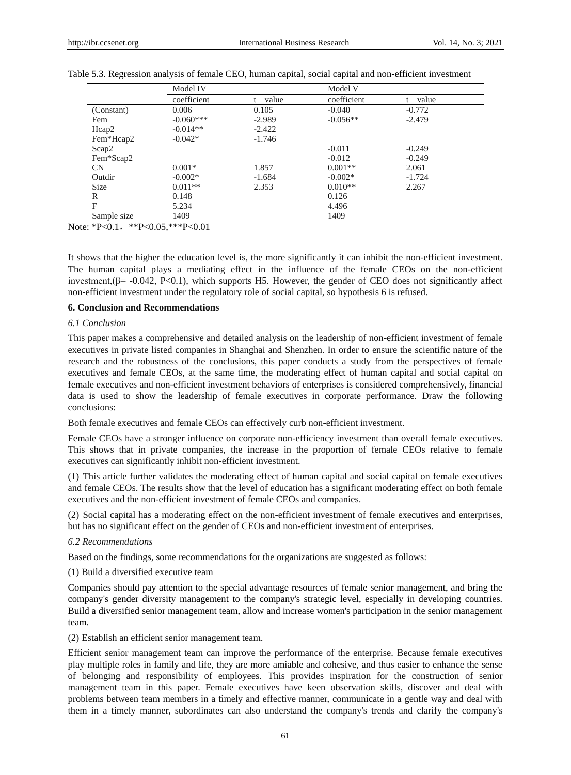|              | Model IV    |             | Model V     |             |  |
|--------------|-------------|-------------|-------------|-------------|--|
|              | coefficient | value<br>t. | coefficient | value<br>t. |  |
| (Constant)   | 0.006       | 0.105       | $-0.040$    | $-0.772$    |  |
| Fem          | $-0.060***$ | $-2.989$    | $-0.056**$  | $-2.479$    |  |
| Hcap2        | $-0.014**$  | $-2.422$    |             |             |  |
| Fem*Hcap2    | $-0.042*$   | $-1.746$    |             |             |  |
| Scap2        |             |             | $-0.011$    | $-0.249$    |  |
| Fem*Scap2    |             |             | $-0.012$    | $-0.249$    |  |
| <b>CN</b>    | $0.001*$    | 1.857       | $0.001**$   | 2.061       |  |
| Outdir       | $-0.002*$   | $-1.684$    | $-0.002*$   | $-1.724$    |  |
| <b>Size</b>  | $0.011**$   | 2.353       | $0.010**$   | 2.267       |  |
| R            | 0.148       |             | 0.126       |             |  |
| $\mathbf{F}$ | 5.234       |             | 4.496       |             |  |
| Sample size  | 1409        |             | 1409        |             |  |

|  | Table 5.3. Regression analysis of female CEO, human capital, social capital and non-efficient investment |  |  |  |  |
|--|----------------------------------------------------------------------------------------------------------|--|--|--|--|
|  |                                                                                                          |  |  |  |  |

Note: \*P<0.1, \*\*P<0.05, \*\*\* P<0.01

It shows that the higher the education level is, the more significantly it can inhibit the non-efficient investment. The human capital plays a mediating effect in the influence of the female CEOs on the non-efficient investment, $(\beta = -0.042, P < 0.1)$ , which supports H5. However, the gender of CEO does not significantly affect non-efficient investment under the regulatory role of social capital, so hypothesis 6 is refused.

## **6. Conclusion and Recommendations**

## *6.1 Conclusion*

This paper makes a comprehensive and detailed analysis on the leadership of non-efficient investment of female executives in private listed companies in Shanghai and Shenzhen. In order to ensure the scientific nature of the research and the robustness of the conclusions, this paper conducts a study from the perspectives of female executives and female CEOs, at the same time, the moderating effect of human capital and social capital on female executives and non-efficient investment behaviors of enterprises is considered comprehensively, financial data is used to show the leadership of female executives in corporate performance. Draw the following conclusions:

Both female executives and female CEOs can effectively curb non-efficient investment.

Female CEOs have a stronger influence on corporate non-efficiency investment than overall female executives. This shows that in private companies, the increase in the proportion of female CEOs relative to female executives can significantly inhibit non-efficient investment.

(1) This article further validates the moderating effect of human capital and social capital on female executives and female CEOs. The results show that the level of education has a significant moderating effect on both female executives and the non-efficient investment of female CEOs and companies.

(2) Social capital has a moderating effect on the non-efficient investment of female executives and enterprises, but has no significant effect on the gender of CEOs and non-efficient investment of enterprises.

#### *6.2 Recommendations*

Based on the findings, some recommendations for the organizations are suggested as follows:

(1) Build a diversified executive team

Companies should pay attention to the special advantage resources of female senior management, and bring the company's gender diversity management to the company's strategic level, especially in developing countries. Build a diversified senior management team, allow and increase women's participation in the senior management team.

(2) Establish an efficient senior management team.

Efficient senior management team can improve the performance of the enterprise. Because female executives play multiple roles in family and life, they are more amiable and cohesive, and thus easier to enhance the sense of belonging and responsibility of employees. This provides inspiration for the construction of senior management team in this paper. Female executives have keen observation skills, discover and deal with problems between team members in a timely and effective manner, communicate in a gentle way and deal with them in a timely manner, subordinates can also understand the company's trends and clarify the company's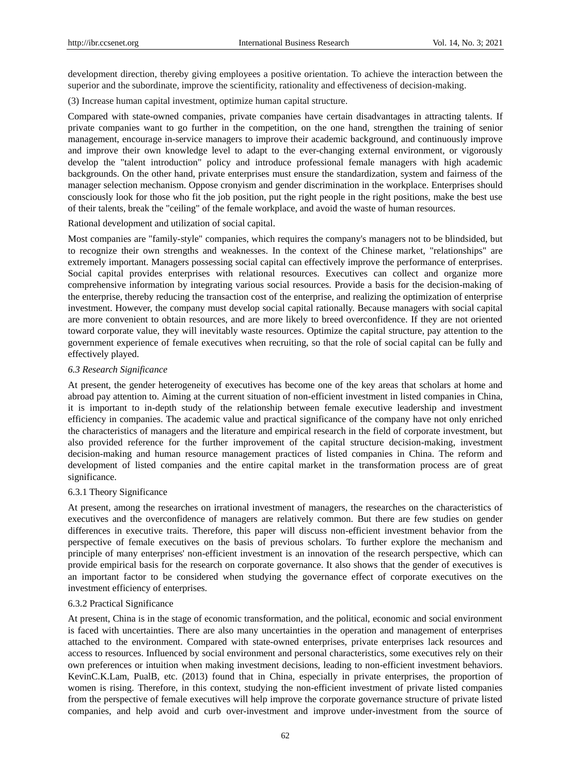development direction, thereby giving employees a positive orientation. To achieve the interaction between the superior and the subordinate, improve the scientificity, rationality and effectiveness of decision-making.

(3) Increase human capital investment, optimize human capital structure.

Compared with state-owned companies, private companies have certain disadvantages in attracting talents. If private companies want to go further in the competition, on the one hand, strengthen the training of senior management, encourage in-service managers to improve their academic background, and continuously improve and improve their own knowledge level to adapt to the ever-changing external environment, or vigorously develop the "talent introduction" policy and introduce professional female managers with high academic backgrounds. On the other hand, private enterprises must ensure the standardization, system and fairness of the manager selection mechanism. Oppose cronyism and gender discrimination in the workplace. Enterprises should consciously look for those who fit the job position, put the right people in the right positions, make the best use of their talents, break the "ceiling" of the female workplace, and avoid the waste of human resources.

Rational development and utilization of social capital.

Most companies are "family-style" companies, which requires the company's managers not to be blindsided, but to recognize their own strengths and weaknesses. In the context of the Chinese market, "relationships" are extremely important. Managers possessing social capital can effectively improve the performance of enterprises. Social capital provides enterprises with relational resources. Executives can collect and organize more comprehensive information by integrating various social resources. Provide a basis for the decision-making of the enterprise, thereby reducing the transaction cost of the enterprise, and realizing the optimization of enterprise investment. However, the company must develop social capital rationally. Because managers with social capital are more convenient to obtain resources, and are more likely to breed overconfidence. If they are not oriented toward corporate value, they will inevitably waste resources. Optimize the capital structure, pay attention to the government experience of female executives when recruiting, so that the role of social capital can be fully and effectively played.

#### *6.3 Research Significance*

At present, the gender heterogeneity of executives has become one of the key areas that scholars at home and abroad pay attention to. Aiming at the current situation of non-efficient investment in listed companies in China, it is important to in-depth study of the relationship between female executive leadership and investment efficiency in companies. The academic value and practical significance of the company have not only enriched the characteristics of managers and the literature and empirical research in the field of corporate investment, but also provided reference for the further improvement of the capital structure decision-making, investment decision-making and human resource management practices of listed companies in China. The reform and development of listed companies and the entire capital market in the transformation process are of great significance.

## 6.3.1 Theory Significance

At present, among the researches on irrational investment of managers, the researches on the characteristics of executives and the overconfidence of managers are relatively common. But there are few studies on gender differences in executive traits. Therefore, this paper will discuss non-efficient investment behavior from the perspective of female executives on the basis of previous scholars. To further explore the mechanism and principle of many enterprises' non-efficient investment is an innovation of the research perspective, which can provide empirical basis for the research on corporate governance. It also shows that the gender of executives is an important factor to be considered when studying the governance effect of corporate executives on the investment efficiency of enterprises.

#### 6.3.2 Practical Significance

At present, China is in the stage of economic transformation, and the political, economic and social environment is faced with uncertainties. There are also many uncertainties in the operation and management of enterprises attached to the environment. Compared with state-owned enterprises, private enterprises lack resources and access to resources. Influenced by social environment and personal characteristics, some executives rely on their own preferences or intuition when making investment decisions, leading to non-efficient investment behaviors. KevinC.K.Lam, PualB, etc. (2013) found that in China, especially in private enterprises, the proportion of women is rising. Therefore, in this context, studying the non-efficient investment of private listed companies from the perspective of female executives will help improve the corporate governance structure of private listed companies, and help avoid and curb over-investment and improve under-investment from the source of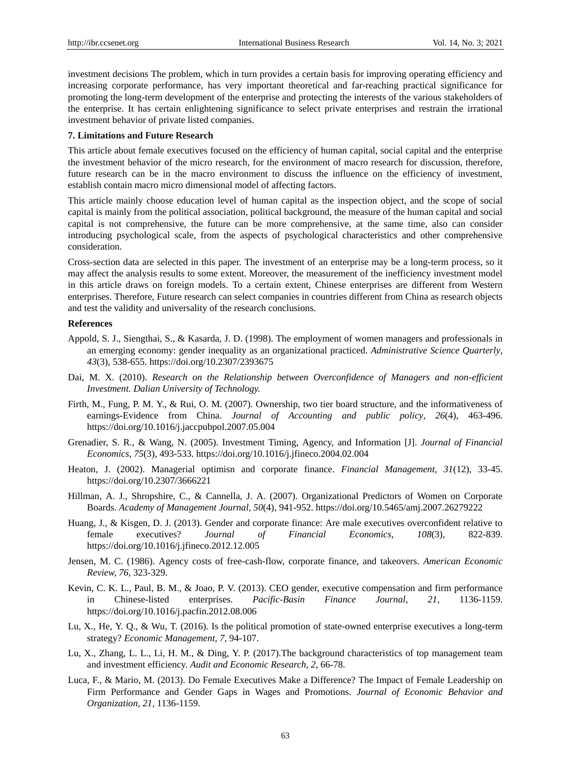investment decisions The problem, which in turn provides a certain basis for improving operating efficiency and increasing corporate performance, has very important theoretical and far-reaching practical significance for promoting the long-term development of the enterprise and protecting the interests of the various stakeholders of the enterprise. It has certain enlightening significance to select private enterprises and restrain the irrational investment behavior of private listed companies.

#### **7. Limitations and Future Research**

This article about female executives focused on the efficiency of human capital, social capital and the enterprise the investment behavior of the micro research, for the environment of macro research for discussion, therefore, future research can be in the macro environment to discuss the influence on the efficiency of investment, establish contain macro micro dimensional model of affecting factors.

This article mainly choose education level of human capital as the inspection object, and the scope of social capital is mainly from the political association, political background, the measure of the human capital and social capital is not comprehensive, the future can be more comprehensive, at the same time, also can consider introducing psychological scale, from the aspects of psychological characteristics and other comprehensive consideration.

Cross-section data are selected in this paper. The investment of an enterprise may be a long-term process, so it may affect the analysis results to some extent. Moreover, the measurement of the inefficiency investment model in this article draws on foreign models. To a certain extent, Chinese enterprises are different from Western enterprises. Therefore, Future research can select companies in countries different from China as research objects and test the validity and universality of the research conclusions.

## **References**

- Appold, S. J., Siengthai, S., & Kasarda, J. D. (1998). The employment of women managers and professionals in an emerging economy: gender inequality as an organizational practiced. *Administrative Science Quarterly, 43*(3), 538-655. https://doi.org/10.2307/2393675
- Dai, M. X. (2010). *Research on the Relationship between Overconfidence of Managers and non-efficient Investment. Dalian University of Technology.*
- Firth, M., Fung, P. M. Y., & Rui, O. M. (2007). Ownership, two tier board structure, and the informativeness of earnings-Evidence from China. *Journal of Accounting and public policy, 26*(4), 463-496. https://doi.org/10.1016/j.jaccpubpol.2007.05.004
- Grenadier, S. R., & Wang, N. (2005). Investment Timing, Agency, and Information [J]. *Journal of Financial Economics, 75*(3), 493-533. https://doi.org/10.1016/j.jfineco.2004.02.004
- Heaton, J. (2002). Managerial optimisn and corporate finance. *Financial Management, 31*(12), 33-45. https://doi.org/10.2307/3666221
- Hillman, A. J., Shropshire, C., & Cannella, J. A. (2007). Organizational Predictors of Women on Corporate Boards. *Academy of Management Journal, 50*(4), 941-952. https://doi.org/10.5465/amj.2007.26279222
- Huang, J., & Kisgen, D. J. (2013). Gender and corporate finance: Are male executives overconfident relative to female executives? *Journal of Financial Economics, 108*(3), 822-839. https://doi.org/10.1016/j.jfineco.2012.12.005
- Jensen, M. C. (1986). Agency costs of free-cash-flow, corporate finance, and takeovers. *American Economic Review, 76,* 323-329.
- Kevin, C. K. L., Paul, B. M., & Joao, P. V. (2013). CEO gender, executive compensation and firm performance in Chinese-listed enterprises. *Pacific-Basin Finance Journal, 21,* 1136-1159. https://doi.org/10.1016/j.pacfin.2012.08.006
- Lu, X., He, Y. Q., & Wu, T. (2016). Is the political promotion of state-owned enterprise executives a long-term strategy? *Economic Management, 7,* 94-107.
- Lu, X., Zhang, L. L., Li, H. M., & Ding, Y. P. (2017).The background characteristics of top management team and investment efficiency. *Audit and Economic Research, 2,* 66-78.
- Luca, F., & Mario, M. (2013). Do Female Executives Make a Difference? The Impact of Female Leadership on Firm Performance and Gender Gaps in Wages and Promotions. *Journal of Economic Behavior and Organization, 21,* 1136-1159.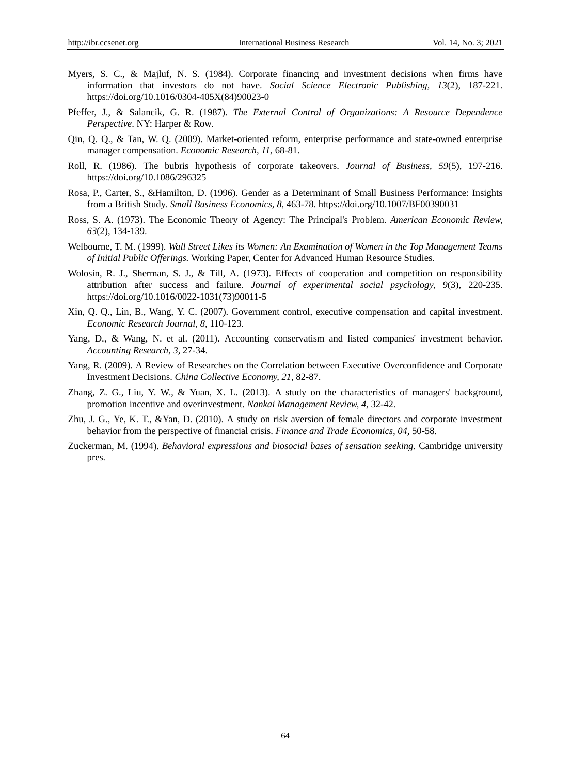- Myers, S. C., & Majluf, N. S. (1984). Corporate financing and investment decisions when firms have information that investors do not have. *Social Science Electronic Publishing, 13*(2), 187-221. https://doi.org/10.1016/0304-405X(84)90023-0
- Pfeffer, J., & Salancik, G. R. (1987). *The External Control of Organizations: A Resource Dependence Perspective*. NY: Harper & Row.
- Qin, Q. Q., & Tan, W. Q. (2009). Market-oriented reform, enterprise performance and state-owned enterprise manager compensation. *Economic Research, 11,* 68-81.
- Roll, R. (1986). The bubris hypothesis of corporate takeovers. *Journal of Business, 59*(5), 197-216. https://doi.org/10.1086/296325
- Rosa, P., Carter, S., &Hamilton, D. (1996). Gender as a Determinant of Small Business Performance: Insights from a British Study. *Small Business Economics, 8,* 463-78. https://doi.org/10.1007/BF00390031
- Ross, S. A. (1973). The Economic Theory of Agency: The Principal's Problem. *American Economic Review, 63*(2), 134-139.
- Welbourne, T. M. (1999). *Wall Street Likes its Women: An Examination of Women in the Top Management Teams of Initial Public Offerings.* Working Paper, Center for Advanced Human Resource Studies.
- Wolosin, R. J., Sherman, S. J., & Till, A. (1973). Effects of cooperation and competition on responsibility attribution after success and failure. *Journal of experimental social psychology, 9*(3), 220-235. https://doi.org/10.1016/0022-1031(73)90011-5
- Xin, Q. Q., Lin, B., Wang, Y. C. (2007). Government control, executive compensation and capital investment. *Economic Research Journal, 8,* 110-123.
- Yang, D., & Wang, N. et al. (2011). Accounting conservatism and listed companies' investment behavior. *Accounting Research, 3,* 27-34.
- Yang, R. (2009). A Review of Researches on the Correlation between Executive Overconfidence and Corporate Investment Decisions. *China Collective Economy, 21,* 82-87.
- Zhang, Z. G., Liu, Y. W., & Yuan, X. L. (2013). A study on the characteristics of managers' background, promotion incentive and overinvestment. *Nankai Management Review, 4,* 32-42.
- Zhu, J. G., Ye, K. T., &Yan, D. (2010). A study on risk aversion of female directors and corporate investment behavior from the perspective of financial crisis. *Finance and Trade Economics, 04,* 50-58.
- Zuckerman, M. (1994). *Behavioral expressions and biosocial bases of sensation seeking.* Cambridge university pres.